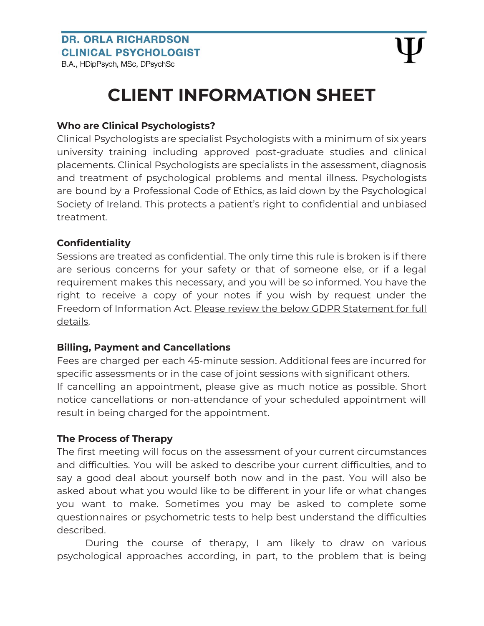## **CLIENT INFORMATION SHEET**

#### **Who are Clinical Psychologists?**

Clinical Psychologists are specialist Psychologists with a minimum of six years university training including approved post-graduate studies and clinical placements. Clinical Psychologists are specialists in the assessment, diagnosis and treatment of psychological problems and mental illness. Psychologists are bound by a Professional Code of Ethics, as laid down by the Psychological Society of Ireland. This protects a patient's right to confidential and unbiased treatment.

#### **Confidentiality**

Sessions are treated as confidential. The only time this rule is broken is if there are serious concerns for your safety or that of someone else, or if a legal requirement makes this necessary, and you will be so informed. You have the right to receive a copy of your notes if you wish by request under the Freedom of Information Act. Please review the below GDPR Statement for full details.

#### **Billing, Payment and Cancellations**

Fees are charged per each 45-minute session. Additional fees are incurred for specific assessments or in the case of joint sessions with significant others. If cancelling an appointment, please give as much notice as possible. Short notice cancellations or non-attendance of your scheduled appointment will result in being charged for the appointment.

#### **The Process of Therapy**

The first meeting will focus on the assessment of your current circumstances and difficulties. You will be asked to describe your current difficulties, and to say a good deal about yourself both now and in the past. You will also be asked about what you would like to be different in your life or what changes you want to make. Sometimes you may be asked to complete some questionnaires or psychometric tests to help best understand the difficulties described.

During the course of therapy, I am likely to draw on various psychological approaches according, in part, to the problem that is being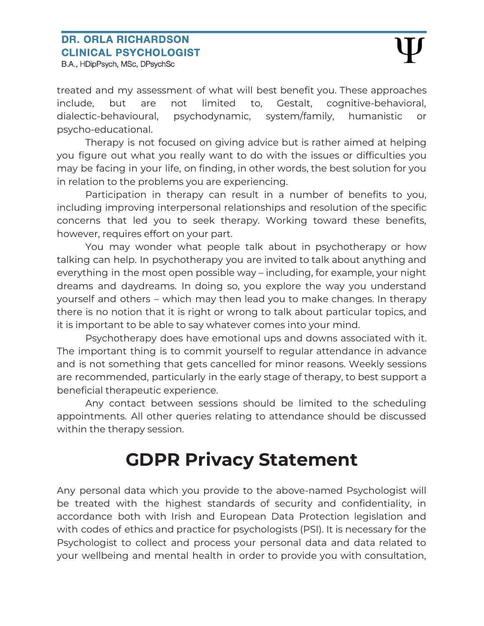B.A., HDipPsych, MSc, DPsychSc

treated and my assessment of what will best benefit you. These approaches include, but are not limited to, Gestalt, cognitive-behavioral, dialectic-behavioural, psychodynamic, system/family, humanistic or psycho-educational.

Therapy is not focused on giving advice but is rather aimed at helping you figure out what you really want to do with the issues or difficulties you may be facing in your life, on finding, in other words, the best solution for you in relation to the problems you are experiencing.

Participation in therapy can result in a number of benefits to you, including improving interpersonal relationships and resolution of the specific concerns that led you to seek therapy. Working toward these benefits, however, requires effort on your part.

You may wonder what people talk about in psychotherapy or how talking can help. In psychotherapy you are invited to talk about anything and everything in the most open possible way – including, for example, your night dreams and daydreams. In doing so, you explore the way you understand yourself and others – which may then lead you to make changes. In therapy there is no notion that it is right or wrong to talk about particular topics, and it is important to be able to say whatever comes into your mind.

Psychotherapy does have emotional ups and downs associated with it. The important thing is to commit yourself to regular attendance in advance and is not something that gets cancelled for minor reasons. Weekly sessions are recommended, particularly in the early stage of therapy, to best support a beneficial therapeutic experience.

Any contact between sessions should be limited to the scheduling appointments. All other queries relating to attendance should be discussed within the therapy session.

# **GDPR Privacy Statement**

Any personal data which you provide to the above-named Psychologist will be treated with the highest standards of security and confidentiality, in accordance both with Irish and European Data Protection legislation and with codes of ethics and practice for psychologists (PSI). It is necessary for the Psychologist to collect and process your personal data and data related to your wellbeing and mental health in order to provide you with consultation,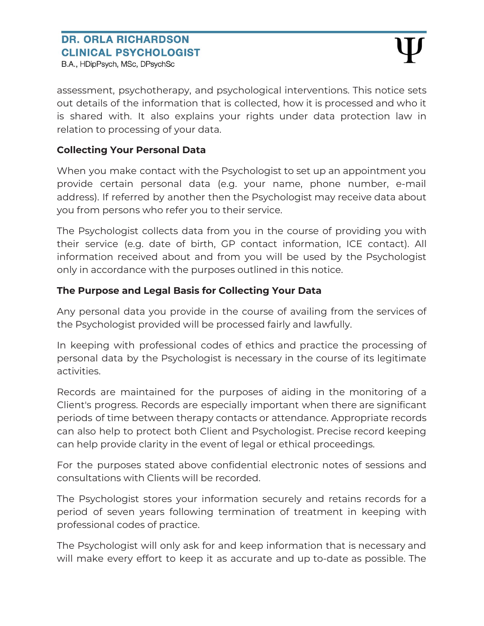B.A., HDipPsych, MSc, DPsychSc

assessment, psychotherapy, and psychological interventions. This notice sets out details of the information that is collected, how it is processed and who it is shared with. It also explains your rights under data protection law in relation to processing of your data.

#### **Collecting Your Personal Data**

When you make contact with the Psychologist to set up an appointment you provide certain personal data (e.g. your name, phone number, e-mail address). If referred by another then the Psychologist may receive data about you from persons who refer you to their service.

The Psychologist collects data from you in the course of providing you with their service (e.g. date of birth, GP contact information, ICE contact). All information received about and from you will be used by the Psychologist only in accordance with the purposes outlined in this notice.

#### **The Purpose and Legal Basis for Collecting Your Data**

Any personal data you provide in the course of availing from the services of the Psychologist provided will be processed fairly and lawfully.

In keeping with professional codes of ethics and practice the processing of personal data by the Psychologist is necessary in the course of its legitimate activities.

Records are maintained for the purposes of aiding in the monitoring of a Client's progress. Records are especially important when there are significant periods of time between therapy contacts or attendance. Appropriate records can also help to protect both Client and Psychologist. Precise record keeping can help provide clarity in the event of legal or ethical proceedings.

For the purposes stated above confidential electronic notes of sessions and consultations with Clients will be recorded.

The Psychologist stores your information securely and retains records for a period of seven years following termination of treatment in keeping with professional codes of practice.

The Psychologist will only ask for and keep information that is necessary and will make every effort to keep it as accurate and up to-date as possible. The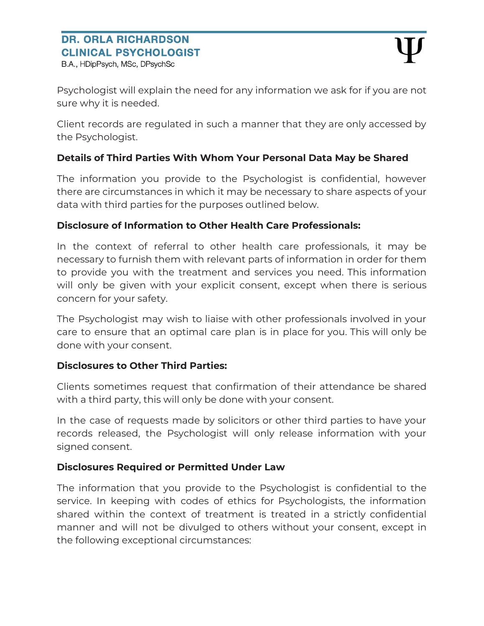Psychologist will explain the need for any information we ask for if you are not sure why it is needed.

Client records are regulated in such a manner that they are only accessed by the Psychologist.

#### **Details of Third Parties With Whom Your Personal Data May be Shared**

The information you provide to the Psychologist is confidential, however there are circumstances in which it may be necessary to share aspects of your data with third parties for the purposes outlined below.

#### **Disclosure of Information to Other Health Care Professionals:**

In the context of referral to other health care professionals, it may be necessary to furnish them with relevant parts of information in order for them to provide you with the treatment and services you need. This information will only be given with your explicit consent, except when there is serious concern for your safety.

The Psychologist may wish to liaise with other professionals involved in your care to ensure that an optimal care plan is in place for you. This will only be done with your consent.

#### **Disclosures to Other Third Parties:**

Clients sometimes request that confirmation of their attendance be shared with a third party, this will only be done with your consent.

In the case of requests made by solicitors or other third parties to have your records released, the Psychologist will only release information with your signed consent.

#### **Disclosures Required or Permitted Under Law**

The information that you provide to the Psychologist is confidential to the service. In keeping with codes of ethics for Psychologists, the information shared within the context of treatment is treated in a strictly confidential manner and will not be divulged to others without your consent, except in the following exceptional circumstances: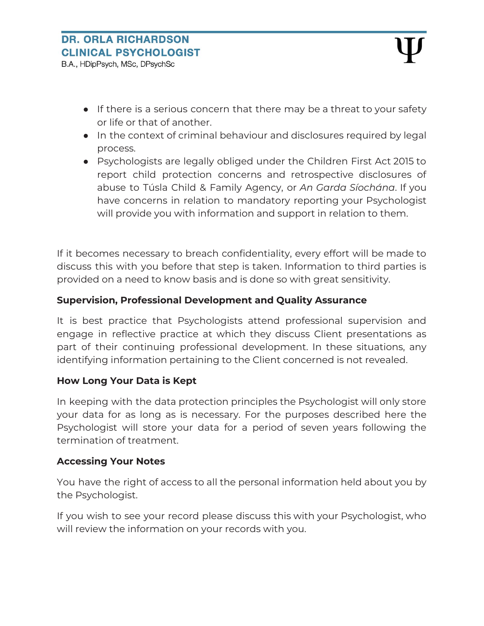- If there is a serious concern that there may be a threat to your safety or life or that of another.
- In the context of criminal behaviour and disclosures required by legal process.
- Psychologists are legally obliged under the Children First Act 2015 to report child protection concerns and retrospective disclosures of abuse to Túsla Child & Family Agency, or *An Garda Síochána*. If you have concerns in relation to mandatory reporting your Psychologist will provide you with information and support in relation to them.

If it becomes necessary to breach confidentiality, every effort will be made to discuss this with you before that step is taken. Information to third parties is provided on a need to know basis and is done so with great sensitivity.

#### **Supervision, Professional Development and Quality Assurance**

It is best practice that Psychologists attend professional supervision and engage in reflective practice at which they discuss Client presentations as part of their continuing professional development. In these situations, any identifying information pertaining to the Client concerned is not revealed.

#### **How Long Your Data is Kept**

In keeping with the data protection principles the Psychologist will only store your data for as long as is necessary. For the purposes described here the Psychologist will store your data for a period of seven years following the termination of treatment.

#### **Accessing Your Notes**

You have the right of access to all the personal information held about you by the Psychologist.

If you wish to see your record please discuss this with your Psychologist, who will review the information on your records with you.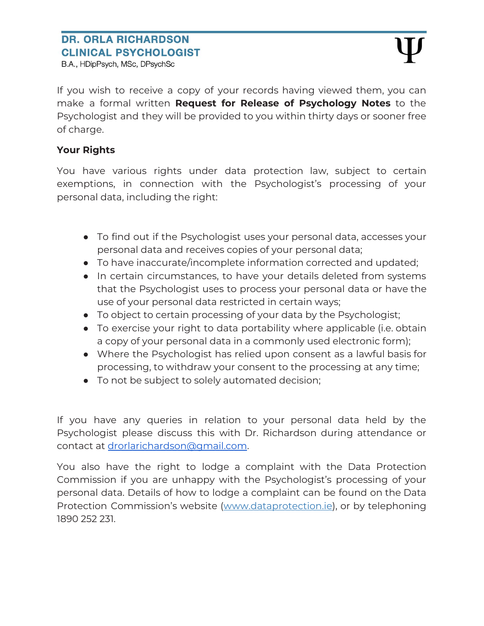B.A., HDipPsych, MSc, DPsychSc

If you wish to receive a copy of your records having viewed them, you can make a formal written **Request for Release of Psychology Notes** to the Psychologist and they will be provided to you within thirty days or sooner free of charge.

#### **Your Rights**

You have various rights under data protection law, subject to certain exemptions, in connection with the Psychologist's processing of your personal data, including the right:

- To find out if the Psychologist uses your personal data, accesses your personal data and receives copies of your personal data;
- To have inaccurate/incomplete information corrected and updated;
- In certain circumstances, to have your details deleted from systems that the Psychologist uses to process your personal data or have the use of your personal data restricted in certain ways;
- To object to certain processing of your data by the Psychologist;
- To exercise your right to data portability where applicable (i.e. obtain a copy of your personal data in a commonly used electronic form);
- Where the Psychologist has relied upon consent as a lawful basis for processing, to withdraw your consent to the processing at any time;
- To not be subject to solely automated decision;

If you have any queries in relation to your personal data held by the Psychologist please discuss this with Dr. Richardson during attendance or contact at [drorlarichardson@gmail.com.](mailto:drorlarichardson@gmail.com)

You also have the right to lodge a complaint with the Data Protection Commission if you are unhappy with the Psychologist's processing of your personal data. Details of how to lodge a complaint can be found on the Data Protection Commission's website ([www.dataprotection.ie\)](http://www.dataprotection.ie/), or by telephoning 1890 252 231.